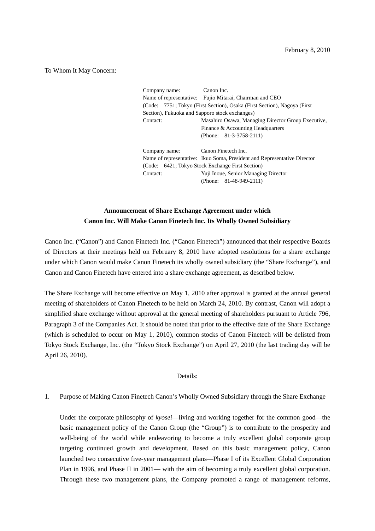To Whom It May Concern:

Company name: Canon Inc. Name of representative: Fujio Mitarai, Chairman and CEO (Code: 7751; Tokyo (First Section), Osaka (First Section), Nagoya (First Section), Fukuoka and Sapporo stock exchanges) Contact: Masahiro Osawa, Managing Director Group Executive, Finance & Accounting Headquarters (Phone: 81-3-3758-2111) Company name: Canon Finetech Inc. Name of representative: Ikuo Soma, President and Representative Director

(Code: 6421; Tokyo Stock Exchange First Section) Contact: Yuji Inoue, Senior Managing Director (Phone: 81-48-949-2111)

# **Announcement of Share Exchange Agreement under which Canon Inc. Will Make Canon Finetech Inc. Its Wholly Owned Subsidiary**

Canon Inc. ("Canon") and Canon Finetech Inc. ("Canon Finetech") announced that their respective Boards of Directors at their meetings held on February 8, 2010 have adopted resolutions for a share exchange under which Canon would make Canon Finetech its wholly owned subsidiary (the "Share Exchange"), and Canon and Canon Finetech have entered into a share exchange agreement, as described below.

The Share Exchange will become effective on May 1, 2010 after approval is granted at the annual general meeting of shareholders of Canon Finetech to be held on March 24, 2010. By contrast, Canon will adopt a simplified share exchange without approval at the general meeting of shareholders pursuant to Article 796, Paragraph 3 of the Companies Act. It should be noted that prior to the effective date of the Share Exchange (which is scheduled to occur on May 1, 2010), common stocks of Canon Finetech will be delisted from Tokyo Stock Exchange, Inc. (the "Tokyo Stock Exchange") on April 27, 2010 (the last trading day will be April 26, 2010).

## Details:

## 1. Purpose of Making Canon Finetech Canon's Wholly Owned Subsidiary through the Share Exchange

Under the corporate philosophy of *kyosei*—living and working together for the common good—the basic management policy of the Canon Group (the "Group") is to contribute to the prosperity and well-being of the world while endeavoring to become a truly excellent global corporate group targeting continued growth and development. Based on this basic management policy, Canon launched two consecutive five-year management plans—Phase I of its Excellent Global Corporation Plan in 1996, and Phase II in 2001— with the aim of becoming a truly excellent global corporation. Through these two management plans, the Company promoted a range of management reforms,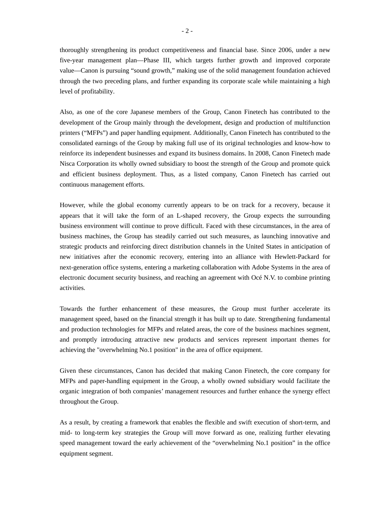thoroughly strengthening its product competitiveness and financial base. Since 2006, under a new five-year management plan—Phase III, which targets further growth and improved corporate value—Canon is pursuing "sound growth," making use of the solid management foundation achieved through the two preceding plans, and further expanding its corporate scale while maintaining a high level of profitability.

Also, as one of the core Japanese members of the Group, Canon Finetech has contributed to the development of the Group mainly through the development, design and production of multifunction printers ("MFPs") and paper handling equipment. Additionally, Canon Finetech has contributed to the consolidated earnings of the Group by making full use of its original technologies and know-how to reinforce its independent businesses and expand its business domains. In 2008, Canon Finetech made Nisca Corporation its wholly owned subsidiary to boost the strength of the Group and promote quick and efficient business deployment. Thus, as a listed company, Canon Finetech has carried out continuous management efforts.

However, while the global economy currently appears to be on track for a recovery, because it appears that it will take the form of an L-shaped recovery, the Group expects the surrounding business environment will continue to prove difficult. Faced with these circumstances, in the area of business machines, the Group has steadily carried out such measures, as launching innovative and strategic products and reinforcing direct distribution channels in the United States in anticipation of new initiatives after the economic recovery, entering into an alliance with Hewlett-Packard for next-generation office systems, entering a marketing collaboration with Adobe Systems in the area of electronic document security business, and reaching an agreement with Océ N.V. to combine printing activities.

Towards the further enhancement of these measures, the Group must further accelerate its management speed, based on the financial strength it has built up to date. Strengthening fundamental and production technologies for MFPs and related areas, the core of the business machines segment, and promptly introducing attractive new products and services represent important themes for achieving the "overwhelming No.1 position" in the area of office equipment.

Given these circumstances, Canon has decided that making Canon Finetech, the core company for MFPs and paper-handling equipment in the Group, a wholly owned subsidiary would facilitate the organic integration of both companies' management resources and further enhance the synergy effect throughout the Group.

As a result, by creating a framework that enables the flexible and swift execution of short-term, and mid- to long-term key strategies the Group will move forward as one, realizing further elevating speed management toward the early achievement of the "overwhelming No.1 position" in the office equipment segment.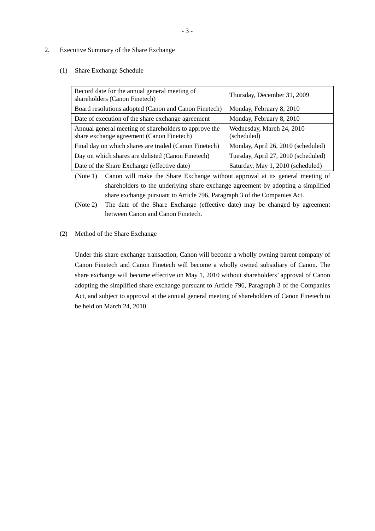## 2. Executive Summary of the Share Exchange

## (1) Share Exchange Schedule

| Record date for the annual general meeting of<br>shareholders (Canon Finetech)                     | Thursday, December 31, 2009              |
|----------------------------------------------------------------------------------------------------|------------------------------------------|
| Board resolutions adopted (Canon and Canon Finetech)                                               | Monday, February 8, 2010                 |
| Date of execution of the share exchange agreement                                                  | Monday, February 8, 2010                 |
| Annual general meeting of shareholders to approve the<br>share exchange agreement (Canon Finetech) | Wednesday, March 24, 2010<br>(scheduled) |
| Final day on which shares are traded (Canon Finetech)                                              | Monday, April 26, 2010 (scheduled)       |
| Day on which shares are delisted (Canon Finetech)                                                  | Tuesday, April 27, 2010 (scheduled)      |
| Date of the Share Exchange (effective date)                                                        | Saturday, May 1, 2010 (scheduled)        |

(Note 1) Canon will make the Share Exchange without approval at its general meeting of shareholders to the underlying share exchange agreement by adopting a simplified share exchange pursuant to Article 796, Paragraph 3 of the Companies Act.

(Note 2) The date of the Share Exchange (effective date) may be changed by agreement between Canon and Canon Finetech.

#### (2) Method of the Share Exchange

Under this share exchange transaction, Canon will become a wholly owning parent company of Canon Finetech and Canon Finetech will become a wholly owned subsidiary of Canon. The share exchange will become effective on May 1, 2010 without shareholders' approval of Canon adopting the simplified share exchange pursuant to Article 796, Paragraph 3 of the Companies Act, and subject to approval at the annual general meeting of shareholders of Canon Finetech to be held on March 24, 2010.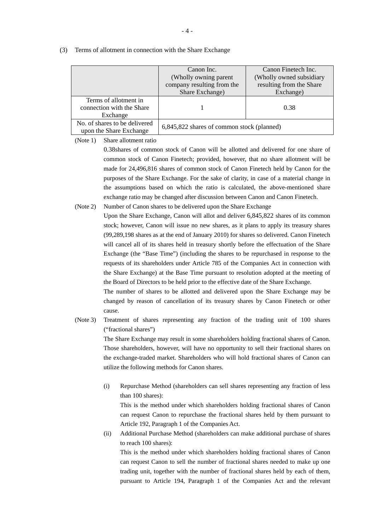|                                                                | Canon Inc.<br>(Wholly owning parent<br>company resulting from the<br>Share Exchange) | Canon Finetech Inc.<br>(Wholly owned subsidiary)<br>resulting from the Share<br>Exchange) |  |
|----------------------------------------------------------------|--------------------------------------------------------------------------------------|-------------------------------------------------------------------------------------------|--|
| Terms of allotment in<br>connection with the Share<br>Exchange |                                                                                      | 0.38                                                                                      |  |
| No. of shares to be delivered<br>upon the Share Exchange       | 6,845,822 shares of common stock (planned)                                           |                                                                                           |  |

#### (3) Terms of allotment in connection with the Share Exchange

(Note 1) Share allotment ratio

0.38shares of common stock of Canon will be allotted and delivered for one share of common stock of Canon Finetech; provided, however, that no share allotment will be made for 24,496,816 shares of common stock of Canon Finetech held by Canon for the purposes of the Share Exchange. For the sake of clarity, in case of a material change in the assumptions based on which the ratio is calculated, the above-mentioned share exchange ratio may be changed after discussion between Canon and Canon Finetech.

(Note 2) Number of Canon shares to be delivered upon the Share Exchange

Upon the Share Exchange, Canon will allot and deliver 6,845,822 shares of its common stock; however, Canon will issue no new shares, as it plans to apply its treasury shares (99,289,198 shares as at the end of January 2010) for shares so delivered. Canon Finetech will cancel all of its shares held in treasury shortly before the effectuation of the Share Exchange (the "Base Time") (including the shares to be repurchased in response to the requests of its shareholders under Article 785 of the Companies Act in connection with the Share Exchange) at the Base Time pursuant to resolution adopted at the meeting of the Board of Directors to be held prior to the effective date of the Share Exchange.

The number of shares to be allotted and delivered upon the Share Exchange may be changed by reason of cancellation of its treasury shares by Canon Finetech or other cause.

(Note 3) Treatment of shares representing any fraction of the trading unit of 100 shares ("fractional shares") The Share Exchange may result in some shareholders holding fractional shares of Canon. Those shareholders, however, will have no opportunity to sell their fractional shares on

the exchange-traded market. Shareholders who will hold fractional shares of Canon can utilize the following methods for Canon shares.

(i) Repurchase Method (shareholders can sell shares representing any fraction of less than 100 shares):

This is the method under which shareholders holding fractional shares of Canon can request Canon to repurchase the fractional shares held by them pursuant to Article 192, Paragraph 1 of the Companies Act.

(ii) Additional Purchase Method (shareholders can make additional purchase of shares to reach 100 shares):

This is the method under which shareholders holding fractional shares of Canon can request Canon to sell the number of fractional shares needed to make up one trading unit, together with the number of fractional shares held by each of them, pursuant to Article 194, Paragraph 1 of the Companies Act and the relevant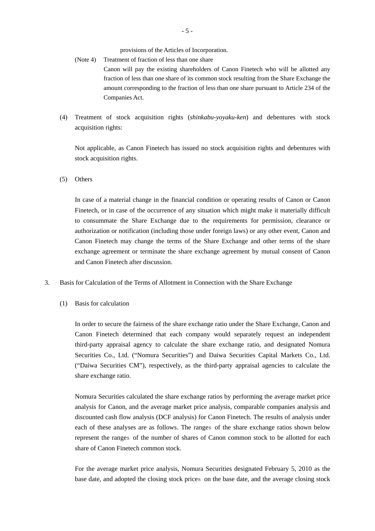provisions of the Articles of Incorporation.

- (Note 4) Treatment of fraction of less than one share Canon will pay the existing shareholders of Canon Finetech who will be allotted any fraction of less than one share of its common stock resulting from the Share Exchange the amount corresponding to the fraction of less than one share pursuant to Article 234 of the Companies Act.
- (4) Treatment of stock acquisition rights (*shinkabu-yoyaku-ken*) and debentures with stock acquisition rights:

Not applicable, as Canon Finetech has issued no stock acquisition rights and debentures with stock acquisition rights.

(5) Others

In case of a material change in the financial condition or operating results of Canon or Canon Finetech, or in case of the occurrence of any situation which might make it materially difficult to consummate the Share Exchange due to the requirements for permission, clearance or authorization or notification (including those under foreign laws) or any other event, Canon and Canon Finetech may change the terms of the Share Exchange and other terms of the share exchange agreement or terminate the share exchange agreement by mutual consent of Canon and Canon Finetech after discussion.

- 3. Basis for Calculation of the Terms of Allotment in Connection with the Share Exchange
	- (1) Basis for calculation

In order to secure the fairness of the share exchange ratio under the Share Exchange, Canon and Canon Finetech determined that each company would separately request an independent third-party appraisal agency to calculate the share exchange ratio, and designated Nomura Securities Co., Ltd. ("Nomura Securities") and Daiwa Securities Capital Markets Co., Ltd. ("Daiwa Securities CM"), respectively, as the third-party appraisal agencies to calculate the share exchange ratio.

Nomura Securities calculated the share exchange ratios by performing the average market price analysis for Canon, and the average market price analysis, comparable companies analysis and discounted cash flow analysis (DCF analysis) for Canon Finetech. The results of analysis under each of these analyses are as follows. The ranges of the share exchange ratios shown below represent the ranges of the number of shares of Canon common stock to be allotted for each share of Canon Finetech common stock.

For the average market price analysis, Nomura Securities designated February 5, 2010 as the base date, and adopted the closing stock prices on the base date, and the average closing stock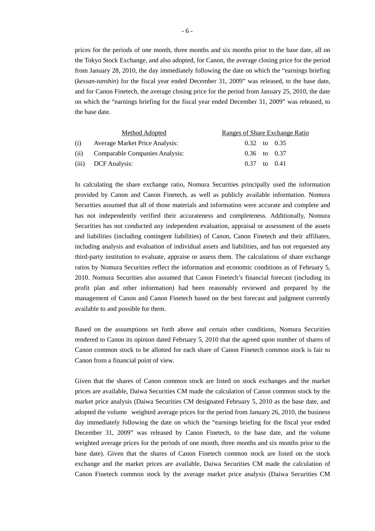prices for the periods of one month, three months and six months prior to the base date, all on the Tokyo Stock Exchange, and also adopted, for Canon, the average closing price for the period from January 28, 2010, the day immediately following the date on which the "earnings briefing (*kessan-tanshin*) for the fiscal year ended December 31, 2009" was released, to the base date, and for Canon Finetech, the average closing price for the period from January 25, 2010, the date on which the "earnings briefing for the fiscal year ended December 31, 2009" was released, to the base date.

|      | Method Adopted                 | Ranges of Share Exchange Ratio |  |  |  |
|------|--------------------------------|--------------------------------|--|--|--|
| (i)  | Average Market Price Analysis: | $0.32$ to $0.35$               |  |  |  |
| (ii) | Comparable Companies Analysis: | $0.36$ to $0.37$               |  |  |  |
|      | (iii) DCF Analysis:            | $0.37$ to $0.41$               |  |  |  |

In calculating the share exchange ratio, Nomura Securities principally used the information provided by Canon and Canon Finetech, as well as publicly available information. Nomura Securities assumed that all of those materials and information were accurate and complete and has not independently verified their accurateness and completeness. Additionally, Nomura Securities has not conducted any independent evaluation, appraisal or assessment of the assets and liabilities (including contingent liabilities) of Canon, Canon Finetech and their affiliates, including analysis and evaluation of individual assets and liabilities, and has not requested any third-party institution to evaluate, appraise or assess them. The calculations of share exchange ratios by Nomura Securities reflect the information and economic conditions as of February 5, 2010. Nomura Securities also assumed that Canon Finetech's financial forecast (including its profit plan and other information) had been reasonably reviewed and prepared by the management of Canon and Canon Finetech based on the best forecast and judgment currently available to and possible for them.

Based on the assumptions set forth above and certain other conditions, Nomura Securities rendered to Canon its opinion dated February 5, 2010 that the agreed upon number of shares of Canon common stock to be allotted for each share of Canon Finetech common stock is fair to Canon from a financial point of view.

Given that the shares of Canon common stock are listed on stock exchanges and the market prices are available, Daiwa Securities CM made the calculation of Canon common stock by the market price analysis (Daiwa Securities CM designated February 5, 2010 as the base date, and adopted the volume weighted average prices for the period from January 26, 2010, the business day immediately following the date on which the "earnings briefing for the fiscal year ended December 31, 2009" was released by Canon Finetech, to the base date, and the volume weighted average prices for the periods of one month, three months and six months prior to the base date). Given that the shares of Canon Finetech common stock are listed on the stock exchange and the market prices are available, Daiwa Securities CM made the calculation of Canon Finetech common stock by the average market price analysis (Daiwa Securities CM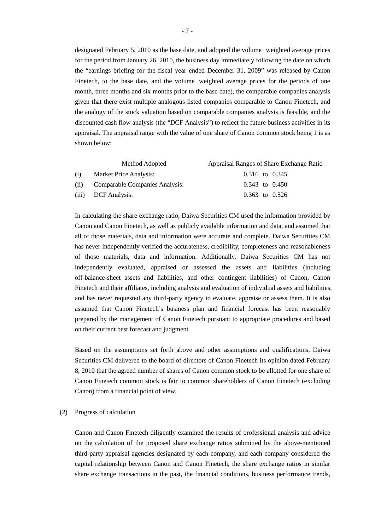designated February 5, 2010 as the base date, and adopted the volume weighted average prices for the period from January 26, 2010, the business day immediately following the date on which the "earnings briefing for the fiscal year ended December 31, 2009" was released by Canon Finetech, to the base date, and the volume weighted average prices for the periods of one month, three months and six months prior to the base date), the comparable companies analysis given that there exist multiple analogous listed companies comparable to Canon Finetech, and the analogy of the stock valuation based on comparable companies analysis is feasible, and the discounted cash flow analysis (the "DCF Analysis") to reflect the future business activities in its appraisal. The appraisal range with the value of one share of Canon common stock being 1 is as shown below:

|      | Method Adopted                 | Appraisal Ranges of Share Exchange Ratio |  |  |
|------|--------------------------------|------------------------------------------|--|--|
| (i)  | Market Price Analysis:         | 0.316 to 0.345                           |  |  |
| (ii) | Comparable Companies Analysis: | $0.343$ to $0.450$                       |  |  |
|      | (iii) DCF Analysis:            | $0.363$ to $0.526$                       |  |  |

In calculating the share exchange ratio, Daiwa Securities CM used the information provided by Canon and Canon Finetech, as well as publicly available information and data, and assumed that all of those materials, data and information were accurate and complete. Daiwa Securities CM has never independently verified the accurateness, credibility, completeness and reasonableness of those materials, data and information. Additionally, Daiwa Securities CM has not independently evaluated, appraised or assessed the assets and liabilities (including off-balance-sheet assets and liabilities, and other contingent liabilities) of Canon, Canon Finetech and their affiliates, including analysis and evaluation of individual assets and liabilities, and has never requested any third-party agency to evaluate, appraise or assess them. It is also assumed that Canon Finetech's business plan and financial forecast has been reasonably prepared by the management of Canon Finetech pursuant to appropriate procedures and based on their current best forecast and judgment.

Based on the assumptions set forth above and other assumptions and qualifications, Daiwa Securities CM delivered to the board of directors of Canon Finetech its opinion dated February 8, 2010 that the agreed number of shares of Canon common stock to be allotted for one share of Canon Finetech common stock is fair to common shareholders of Canon Finetech (excluding Canon) from a financial point of view.

#### (2) Progress of calculation

Canon and Canon Finetech diligently examined the results of professional analysis and advice on the calculation of the proposed share exchange ratios submitted by the above-mentioned third-party appraisal agencies designated by each company, and each company considered the capital relationship between Canon and Canon Finetech, the share exchange ratios in similar share exchange transactions in the past, the financial conditions, business performance trends,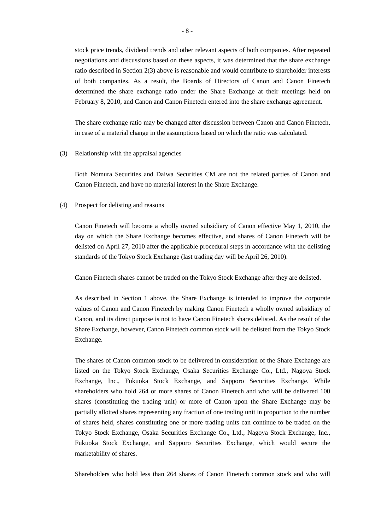stock price trends, dividend trends and other relevant aspects of both companies. After repeated negotiations and discussions based on these aspects, it was determined that the share exchange ratio described in Section 2(3) above is reasonable and would contribute to shareholder interests of both companies. As a result, the Boards of Directors of Canon and Canon Finetech determined the share exchange ratio under the Share Exchange at their meetings held on February 8, 2010, and Canon and Canon Finetech entered into the share exchange agreement.

The share exchange ratio may be changed after discussion between Canon and Canon Finetech, in case of a material change in the assumptions based on which the ratio was calculated.

#### (3) Relationship with the appraisal agencies

Both Nomura Securities and Daiwa Securities CM are not the related parties of Canon and Canon Finetech, and have no material interest in the Share Exchange.

## (4) Prospect for delisting and reasons

Canon Finetech will become a wholly owned subsidiary of Canon effective May 1, 2010, the day on which the Share Exchange becomes effective, and shares of Canon Finetech will be delisted on April 27, 2010 after the applicable procedural steps in accordance with the delisting standards of the Tokyo Stock Exchange (last trading day will be April 26, 2010).

Canon Finetech shares cannot be traded on the Tokyo Stock Exchange after they are delisted.

As described in Section 1 above, the Share Exchange is intended to improve the corporate values of Canon and Canon Finetech by making Canon Finetech a wholly owned subsidiary of Canon, and its direct purpose is not to have Canon Finetech shares delisted. As the result of the Share Exchange, however, Canon Finetech common stock will be delisted from the Tokyo Stock Exchange.

The shares of Canon common stock to be delivered in consideration of the Share Exchange are listed on the Tokyo Stock Exchange, Osaka Securities Exchange Co., Ltd., Nagoya Stock Exchange, Inc., Fukuoka Stock Exchange, and Sapporo Securities Exchange. While shareholders who hold 264 or more shares of Canon Finetech and who will be delivered 100 shares (constituting the trading unit) or more of Canon upon the Share Exchange may be partially allotted shares representing any fraction of one trading unit in proportion to the number of shares held, shares constituting one or more trading units can continue to be traded on the Tokyo Stock Exchange, Osaka Securities Exchange Co., Ltd., Nagoya Stock Exchange, Inc., Fukuoka Stock Exchange, and Sapporo Securities Exchange, which would secure the marketability of shares.

Shareholders who hold less than 264 shares of Canon Finetech common stock and who will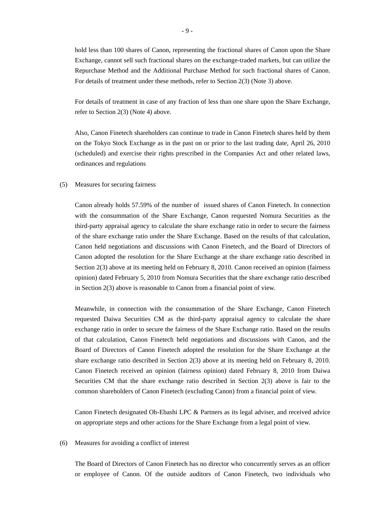hold less than 100 shares of Canon, representing the fractional shares of Canon upon the Share Exchange, cannot sell such fractional shares on the exchange-traded markets, but can utilize the Repurchase Method and the Additional Purchase Method for such fractional shares of Canon. For details of treatment under these methods, refer to Section 2(3) (Note 3) above.

For details of treatment in case of any fraction of less than one share upon the Share Exchange, refer to Section 2(3) (Note 4) above.

Also, Canon Finetech shareholders can continue to trade in Canon Finetech shares held by them on the Tokyo Stock Exchange as in the past on or prior to the last trading date, April 26, 2010 (scheduled) and exercise their rights prescribed in the Companies Act and other related laws, ordinances and regulations

### (5) Measures for securing fairness

Canon already holds 57.59% of the number of issued shares of Canon Finetech. In connection with the consummation of the Share Exchange, Canon requested Nomura Securities as the third-party appraisal agency to calculate the share exchange ratio in order to secure the fairness of the share exchange ratio under the Share Exchange. Based on the results of that calculation, Canon held negotiations and discussions with Canon Finetech, and the Board of Directors of Canon adopted the resolution for the Share Exchange at the share exchange ratio described in Section 2(3) above at its meeting held on February 8, 2010. Canon received an opinion (fairness opinion) dated February 5, 2010 from Nomura Securities that the share exchange ratio described in Section 2(3) above is reasonable to Canon from a financial point of view.

Meanwhile, in connection with the consummation of the Share Exchange, Canon Finetech requested Daiwa Securities CM as the third-party appraisal agency to calculate the share exchange ratio in order to secure the fairness of the Share Exchange ratio. Based on the results of that calculation, Canon Finetech held negotiations and discussions with Canon, and the Board of Directors of Canon Finetech adopted the resolution for the Share Exchange at the share exchange ratio described in Section 2(3) above at its meeting held on February 8, 2010. Canon Finetech received an opinion (fairness opinion) dated February 8, 2010 from Daiwa Securities CM that the share exchange ratio described in Section 2(3) above is fair to the common shareholders of Canon Finetech (excluding Canon) from a financial point of view.

Canon Finetech designated Oh-Ebashi LPC & Partners as its legal adviser, and received advice on appropriate steps and other actions for the Share Exchange from a legal point of view.

## (6) Measures for avoiding a conflict of interest

The Board of Directors of Canon Finetech has no director who concurrently serves as an officer or employee of Canon. Of the outside auditors of Canon Finetech, two individuals who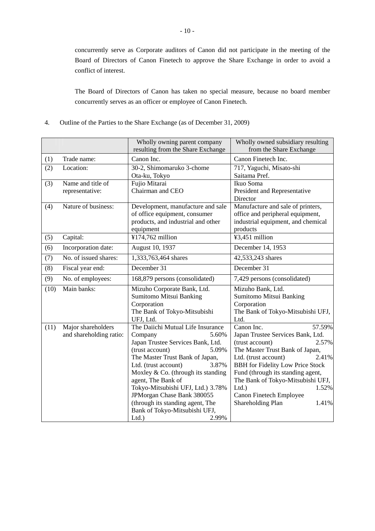concurrently serve as Corporate auditors of Canon did not participate in the meeting of the Board of Directors of Canon Finetech to approve the Share Exchange in order to avoid a conflict of interest.

The Board of Directors of Canon has taken no special measure, because no board member concurrently serves as an officer or employee of Canon Finetech.

4. Outline of the Parties to the Share Exchange (as of December 31, 2009)

|      |                         | Wholly owning parent company                                       | Wholly owned subsidiary resulting                                     |  |
|------|-------------------------|--------------------------------------------------------------------|-----------------------------------------------------------------------|--|
|      |                         | resulting from the Share Exchange                                  | from the Share Exchange                                               |  |
| (1)  | Trade name:             | Canon Inc.                                                         | Canon Finetech Inc.                                                   |  |
| (2)  | Location:               | 30-2, Shimomaruko 3-chome                                          | 717, Yaguchi, Misato-shi                                              |  |
|      |                         | Ota-ku, Tokyo                                                      | Saitama Pref.                                                         |  |
| (3)  | Name and title of       | Fujio Mitarai                                                      | Ikuo Soma                                                             |  |
|      | representative:         | Chairman and CEO                                                   | President and Representative                                          |  |
|      | Nature of business:     |                                                                    | Director                                                              |  |
| (4)  |                         | Development, manufacture and sale<br>of office equipment, consumer | Manufacture and sale of printers,<br>office and peripheral equipment, |  |
|      |                         | products, and industrial and other                                 | industrial equipment, and chemical                                    |  |
|      |                         | equipment                                                          | products                                                              |  |
| (5)  | Capital:                | ¥174,762 million                                                   | ¥3,451 million                                                        |  |
| (6)  | Incorporation date:     | August 10, 1937                                                    | December 14, 1953                                                     |  |
| (7)  | No. of issued shares:   | 1,333,763,464 shares                                               | 42,533,243 shares                                                     |  |
| (8)  | Fiscal year end:        | December 31                                                        | December 31                                                           |  |
| (9)  | No. of employees:       | 168,879 persons (consolidated)                                     | 7,429 persons (consolidated)                                          |  |
| (10) | Main banks:             | Mizuho Corporate Bank, Ltd.                                        | Mizuho Bank, Ltd.                                                     |  |
|      |                         | Sumitomo Mitsui Banking                                            | Sumitomo Mitsui Banking                                               |  |
|      |                         | Corporation                                                        | Corporation                                                           |  |
|      |                         | The Bank of Tokyo-Mitsubishi                                       | The Bank of Tokyo-Mitsubishi UFJ,                                     |  |
| (11) | Major shareholders      | UFJ, Ltd.<br>The Daiichi Mutual Life Insurance                     | Ltd.<br>Canon Inc.<br>57.59%                                          |  |
|      | and shareholding ratio: | 5.60%<br>Company                                                   | Japan Trustee Services Bank, Ltd.                                     |  |
|      |                         | Japan Trustee Services Bank, Ltd.                                  | 2.57%<br>(trust account)                                              |  |
|      |                         | (trust account)<br>5.09%                                           | The Master Trust Bank of Japan,                                       |  |
|      |                         | The Master Trust Bank of Japan,                                    | 2.41%<br>Ltd. (trust account)                                         |  |
|      |                         | 3.87%<br>Ltd. (trust account)                                      | <b>BBH</b> for Fidelity Low Price Stock                               |  |
|      |                         | Moxley & Co. (through its standing                                 | Fund (through its standing agent,                                     |  |
|      |                         | agent, The Bank of                                                 | The Bank of Tokyo-Mitsubishi UFJ,                                     |  |
|      |                         | Tokyo-Mitsubishi UFJ, Ltd.) 3.78%                                  | 1.52%<br>Ltd.                                                         |  |
|      |                         | JPMorgan Chase Bank 380055<br>(through its standing agent, The     | Canon Finetech Employee<br>Shareholding Plan<br>1.41%                 |  |
|      |                         | Bank of Tokyo-Mitsubishi UFJ,                                      |                                                                       |  |
|      |                         | Ltd.<br>2.99%                                                      |                                                                       |  |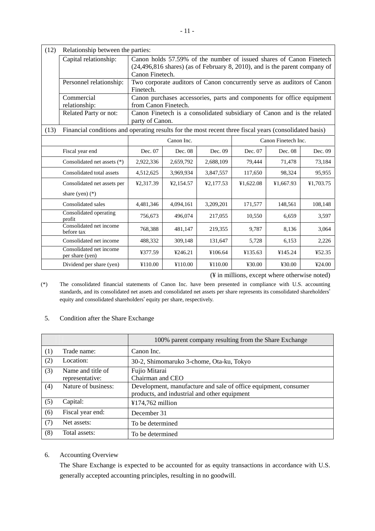| (12) | Relationship between the parties:                                                                      |                                                                                                                                                                                |                                                                                            |                                                                        |           |           |           |
|------|--------------------------------------------------------------------------------------------------------|--------------------------------------------------------------------------------------------------------------------------------------------------------------------------------|--------------------------------------------------------------------------------------------|------------------------------------------------------------------------|-----------|-----------|-----------|
|      | Capital relationship:                                                                                  | Canon holds 57.59% of the number of issued shares of Canon Finetech<br>$(24,496,816 \text{ shares})$ (as of February 8, 2010), and is the parent company of<br>Canon Finetech. |                                                                                            |                                                                        |           |           |           |
|      | Personnel relationship:                                                                                | Finetech.                                                                                                                                                                      | Two corporate auditors of Canon concurrently serve as auditors of Canon                    |                                                                        |           |           |           |
|      | Commercial<br>relationship:                                                                            | from Canon Finetech.                                                                                                                                                           |                                                                                            | Canon purchases accessories, parts and components for office equipment |           |           |           |
|      | Related Party or not:                                                                                  |                                                                                                                                                                                | Canon Finetech is a consolidated subsidiary of Canon and is the related<br>party of Canon. |                                                                        |           |           |           |
| (13) | Financial conditions and operating results for the most recent three fiscal years (consolidated basis) |                                                                                                                                                                                |                                                                                            |                                                                        |           |           |           |
|      |                                                                                                        | Canon Inc.<br>Canon Finetech Inc.                                                                                                                                              |                                                                                            |                                                                        |           |           |           |
|      | Fiscal year end                                                                                        | Dec. 07                                                                                                                                                                        | Dec. 08                                                                                    | Dec. 09                                                                | Dec. 07   | Dec. 08   | Dec. 09   |
|      | Consolidated net assets (*)                                                                            | 2,922,336                                                                                                                                                                      | 2,659,792                                                                                  | 2,688,109                                                              | 79,444    | 71,478    | 73,184    |
|      | Consolidated total assets                                                                              | 4,512,625                                                                                                                                                                      | 3,969,934                                                                                  | 3,847,557                                                              | 117,650   | 98,324    | 95,955    |
|      | Consolidated net assets per                                                                            | ¥2.317.39                                                                                                                                                                      | ¥2,154.57                                                                                  | ¥2,177.53                                                              | ¥1.622.08 | ¥1,667.93 | ¥1,703.75 |
|      | share (yen) $(*)$                                                                                      |                                                                                                                                                                                |                                                                                            |                                                                        |           |           |           |
|      | Consolidated sales                                                                                     | 4,481,346                                                                                                                                                                      | 4,094,161                                                                                  | 3,209,201                                                              | 171,577   | 148,561   | 108,148   |
|      | Consolidated operating<br>profit                                                                       | 756,673                                                                                                                                                                        | 496,074                                                                                    | 217,055                                                                | 10,550    | 6,659     | 3,597     |
|      | Consolidated net income<br>before tax                                                                  | 768,388                                                                                                                                                                        | 481,147                                                                                    | 219,355                                                                | 9,787     | 8,136     | 3,064     |
|      | Consolidated net income                                                                                | 488,332                                                                                                                                                                        | 309,148                                                                                    | 131,647                                                                | 5,728     | 6,153     | 2,226     |
|      | Consolidated net income<br>per share (yen)                                                             | ¥377.59                                                                                                                                                                        | ¥246.21                                                                                    | ¥106.64                                                                | ¥135.63   | ¥145.24   | ¥52.35    |
|      | Dividend per share (yen)                                                                               | ¥110.00                                                                                                                                                                        | ¥110.00                                                                                    | ¥110.00                                                                | ¥30.00    | ¥30.00    | 424.00    |

(¥ in millions, except where otherwise noted)

(\*) The consolidated financial statements of Canon Inc. have been presented in compliance with U.S. accounting standards, and its consolidated net assets and consolidated net assets per share represents its consolidated shareholders' equity and consolidated shareholders' equity per share, respectively.

|     |                     | 100% parent company resulting from the Share Exchange           |
|-----|---------------------|-----------------------------------------------------------------|
| (1) | Trade name:         | Canon Inc.                                                      |
| (2) | Location:           | 30-2, Shimomaruko 3-chome, Ota-ku, Tokyo                        |
| (3) | Name and title of   | Fujio Mitarai                                                   |
|     | representative:     | Chairman and CEO                                                |
| (4) | Nature of business: | Development, manufacture and sale of office equipment, consumer |
|     |                     | products, and industrial and other equipment                    |
| (5) | Capital:            | ¥174,762 million                                                |
| (6) | Fiscal year end:    | December 31                                                     |
| (7) | Net assets:         | To be determined                                                |
| (8) | Total assets:       | To be determined                                                |

## 5. Condition after the Share Exchange

## 6. Accounting Overview

The Share Exchange is expected to be accounted for as equity transactions in accordance with U.S. generally accepted accounting principles, resulting in no goodwill.